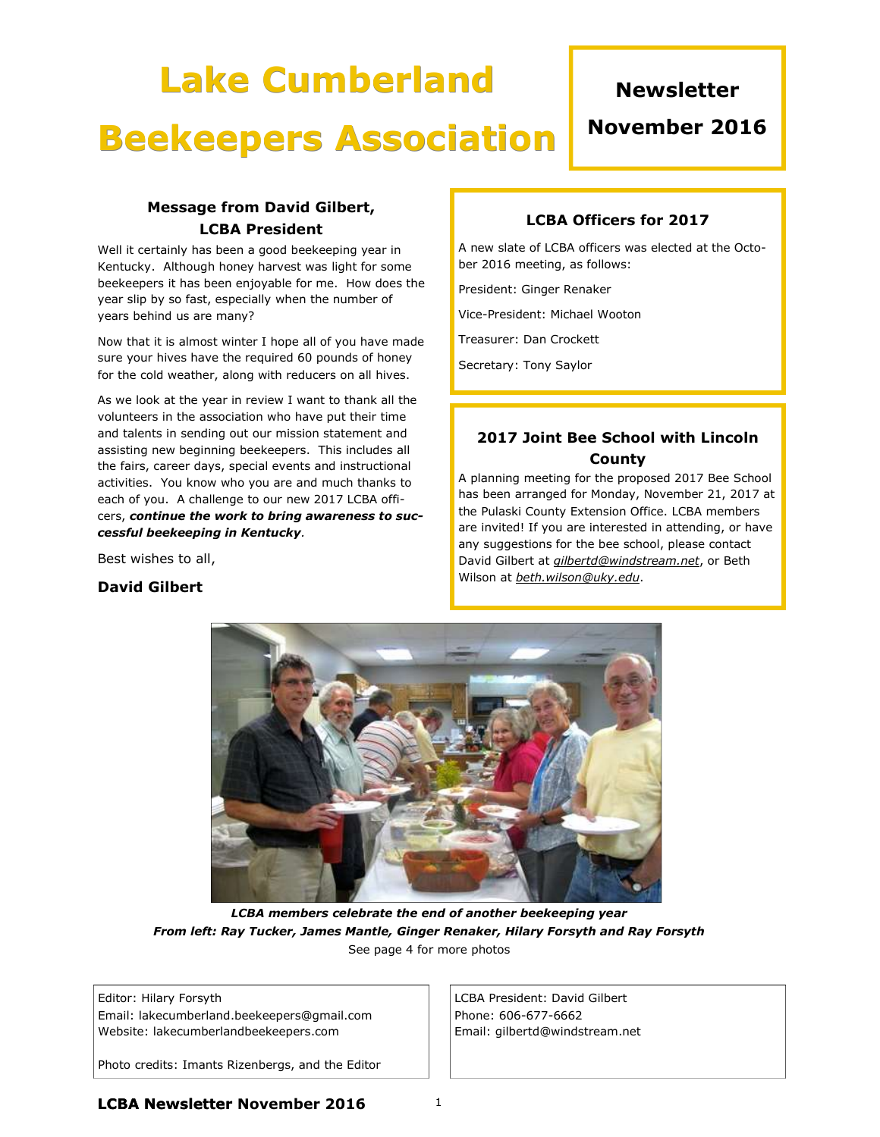# Lake Cumberland

## **Newsletter**

## Beekeepers Association

## November 2016

### Message from David Gilbert, LCBA President

Well it certainly has been a good beekeeping year in Kentucky. Although honey harvest was light for some beekeepers it has been enjoyable for me. How does the year slip by so fast, especially when the number of years behind us are many?

Now that it is almost winter I hope all of you have made sure your hives have the required 60 pounds of honey for the cold weather, along with reducers on all hives.

As we look at the year in review I want to thank all the volunteers in the association who have put their time and talents in sending out our mission statement and assisting new beginning beekeepers. This includes all the fairs, career days, special events and instructional activities. You know who you are and much thanks to each of you. A challenge to our new 2017 LCBA officers, continue the work to bring awareness to successful beekeeping in Kentucky.

Best wishes to all,

#### David Gilbert

#### LCBA Officers for 2017

A new slate of LCBA officers was elected at the October 2016 meeting, as follows:

President: Ginger Renaker

Vice-President: Michael Wooton

Treasurer: Dan Crockett

Secretary: Tony Saylor

### 2017 Joint Bee School with Lincoln County

A planning meeting for the proposed 2017 Bee School has been arranged for Monday, November 21, 2017 at the Pulaski County Extension Office. LCBA members are invited! If you are interested in attending, or have any suggestions for the bee school, please contact David Gilbert at *gilbertd@windstream.net*, or Beth Wilson at *beth.wilson@uky.edu.* 



LCBA members celebrate the end of another beekeeping year From left: Ray Tucker, James Mantle, Ginger Renaker, Hilary Forsyth and Ray Forsyth See page 4 for more photos

#### Editor: Hilary Forsyth

Email: lakecumberland.beekeepers@gmail.com Website: lakecumberlandbeekeepers.com

Photo credits: Imants Rizenbergs, and the Editor

LCBA President: David Gilbert Phone: 606-677-6662 Email: gilbertd@windstream.net

**LCBA Newsletter November 2016**  $1$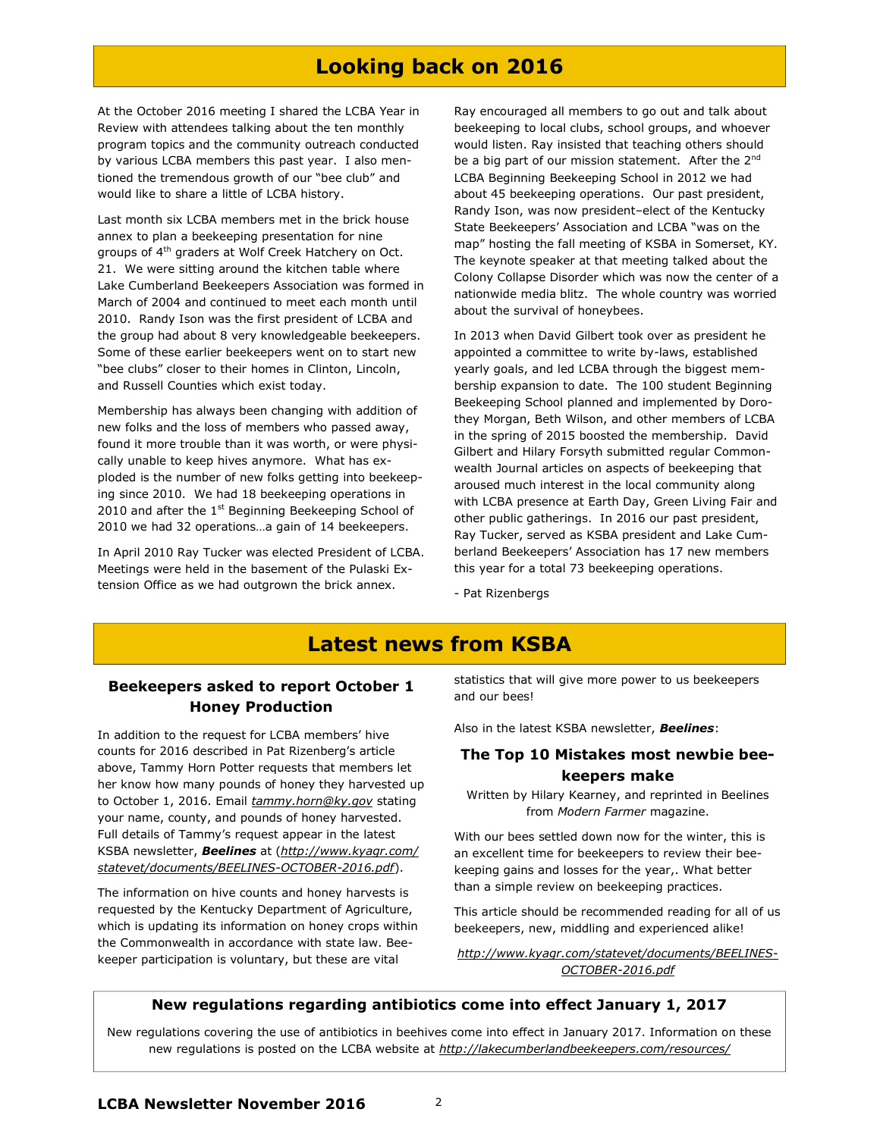## Looking back on 2016

At the October 2016 meeting I shared the LCBA Year in Review with attendees talking about the ten monthly program topics and the community outreach conducted by various LCBA members this past year. I also mentioned the tremendous growth of our "bee club" and would like to share a little of LCBA history.

Last month six LCBA members met in the brick house annex to plan a beekeeping presentation for nine groups of 4<sup>th</sup> graders at Wolf Creek Hatchery on Oct. 21. We were sitting around the kitchen table where Lake Cumberland Beekeepers Association was formed in March of 2004 and continued to meet each month until 2010. Randy Ison was the first president of LCBA and the group had about 8 very knowledgeable beekeepers. Some of these earlier beekeepers went on to start new "bee clubs" closer to their homes in Clinton, Lincoln, and Russell Counties which exist today.

Membership has always been changing with addition of new folks and the loss of members who passed away, found it more trouble than it was worth, or were physically unable to keep hives anymore. What has exploded is the number of new folks getting into beekeeping since 2010. We had 18 beekeeping operations in 2010 and after the  $1^{st}$  Beginning Beekeeping School of 2010 we had 32 operations…a gain of 14 beekeepers.

In April 2010 Ray Tucker was elected President of LCBA. Meetings were held in the basement of the Pulaski Extension Office as we had outgrown the brick annex.

Ray encouraged all members to go out and talk about beekeeping to local clubs, school groups, and whoever would listen. Ray insisted that teaching others should be a big part of our mission statement. After the 2<sup>nd</sup> LCBA Beginning Beekeeping School in 2012 we had about 45 beekeeping operations. Our past president, Randy Ison, was now president–elect of the Kentucky State Beekeepers' Association and LCBA "was on the map" hosting the fall meeting of KSBA in Somerset, KY. The keynote speaker at that meeting talked about the Colony Collapse Disorder which was now the center of a nationwide media blitz. The whole country was worried about the survival of honeybees.

In 2013 when David Gilbert took over as president he appointed a committee to write by-laws, established yearly goals, and led LCBA through the biggest membership expansion to date. The 100 student Beginning Beekeeping School planned and implemented by Dorothey Morgan, Beth Wilson, and other members of LCBA in the spring of 2015 boosted the membership. David Gilbert and Hilary Forsyth submitted regular Commonwealth Journal articles on aspects of beekeeping that aroused much interest in the local community along with LCBA presence at Earth Day, Green Living Fair and other public gatherings. In 2016 our past president, Ray Tucker, served as KSBA president and Lake Cumberland Beekeepers' Association has 17 new members this year for a total 73 beekeeping operations.

- Pat Rizenbergs

## Latest news from KSBA

#### Beekeepers asked to report October 1 Honey Production

In addition to the request for LCBA members' hive counts for 2016 described in Pat Rizenberg's article above, Tammy Horn Potter requests that members let her know how many pounds of honey they harvested up to October 1, 2016. Email tammy.horn@ky.gov stating your name, county, and pounds of honey harvested. Full details of Tammy's request appear in the latest KSBA newsletter, Beelines at (http://www.kyagr.com/ statevet/documents/BEELINES-OCTOBER-2016.pdf).

The information on hive counts and honey harvests is requested by the Kentucky Department of Agriculture, which is updating its information on honey crops within the Commonwealth in accordance with state law. Beekeeper participation is voluntary, but these are vital

statistics that will give more power to us beekeepers and our bees!

Also in the latest KSBA newsletter, Beelines:

#### The Top 10 Mistakes most newbie beekeepers make

Written by Hilary Kearney, and reprinted in Beelines from Modern Farmer magazine.

With our bees settled down now for the winter, this is an excellent time for beekeepers to review their beekeeping gains and losses for the year,. What better than a simple review on beekeeping practices.

This article should be recommended reading for all of us beekeepers, new, middling and experienced alike!

http://www.kyagr.com/statevet/documents/BEELINES-OCTOBER-2016.pdf

#### New regulations regarding antibiotics come into effect January 1, 2017

New regulations covering the use of antibiotics in beehives come into effect in January 2017. Information on these new regulations is posted on the LCBA website at http://lakecumberlandbeekeepers.com/resources/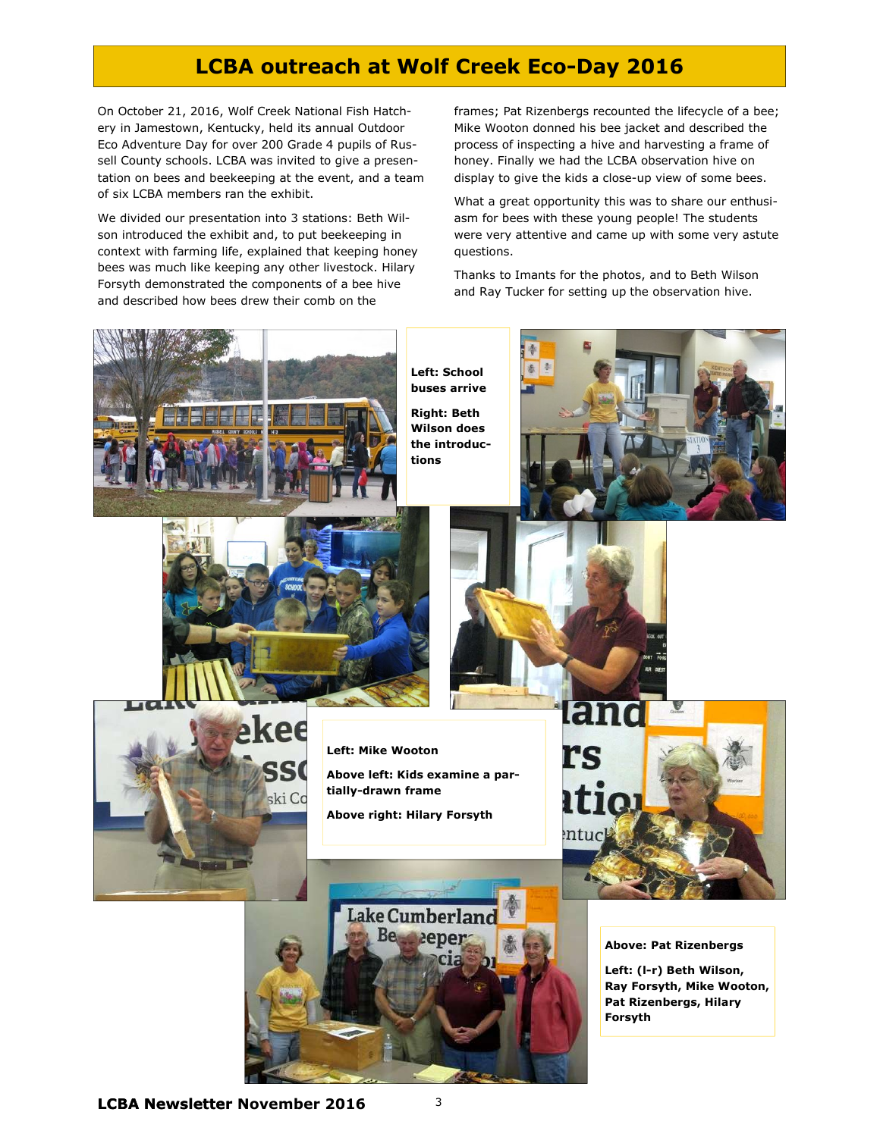## LCBA outreach at Wolf Creek Eco-Day 2016

On October 21, 2016, Wolf Creek National Fish Hatchery in Jamestown, Kentucky, held its annual Outdoor Eco Adventure Day for over 200 Grade 4 pupils of Russell County schools. LCBA was invited to give a presentation on bees and beekeeping at the event, and a team of six LCBA members ran the exhibit.

We divided our presentation into 3 stations: Beth Wilson introduced the exhibit and, to put beekeeping in context with farming life, explained that keeping honey bees was much like keeping any other livestock. Hilary Forsyth demonstrated the components of a bee hive and described how bees drew their comb on the

frames; Pat Rizenbergs recounted the lifecycle of a bee; Mike Wooton donned his bee jacket and described the process of inspecting a hive and harvesting a frame of honey. Finally we had the LCBA observation hive on display to give the kids a close-up view of some bees.

What a great opportunity this was to share our enthusiasm for bees with these young people! The students were very attentive and came up with some very astute questions.

Thanks to Imants for the photos, and to Beth Wilson and Ray Tucker for setting up the observation hive.